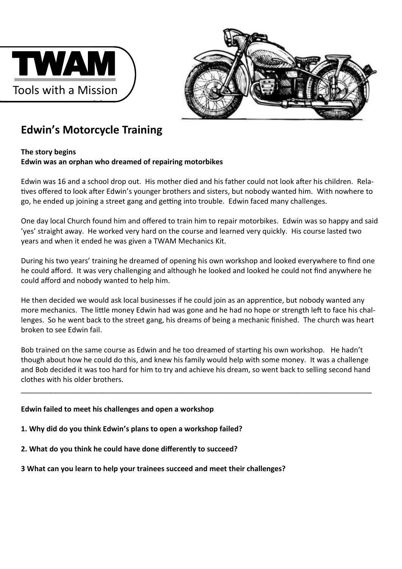



## **Edwin's Motorcycle Training**

## **The story begins Edwin was an orphan who dreamed of repairing motorbikes**

Edwin was 16 and a school drop out. His mother died and his father could not look after his children. Relatives offered to look after Edwin's younger brothers and sisters, but nobody wanted him. With nowhere to go, he ended up joining a street gang and getting into trouble. Edwin faced many challenges.

One day local Church found him and offered to train him to repair motorbikes. Edwin was so happy and said 'yes' straight away. He worked very hard on the course and learned very quickly. His course lasted two years and when it ended he was given a TWAM Mechanics Kit.

During his two years' training he dreamed of opening his own workshop and looked everywhere to find one he could afford. It was very challenging and although he looked and looked he could not find anywhere he could afford and nobody wanted to help him.

He then decided we would ask local businesses if he could join as an apprentice, but nobody wanted any more mechanics. The little money Edwin had was gone and he had no hope or strength left to face his challenges. So he went back to the street gang, his dreams of being a mechanic finished. The church was heart broken to see Edwin fail.

Bob trained on the same course as Edwin and he too dreamed of starting his own workshop. He hadn't though about how he could do this, and knew his family would help with some money. It was a challenge and Bob decided it was too hard for him to try and achieve his dream, so went back to selling second hand clothes with his older brothers.

\_\_\_\_\_\_\_\_\_\_\_\_\_\_\_\_\_\_\_\_\_\_\_\_\_\_\_\_\_\_\_\_\_\_\_\_\_\_\_\_\_\_\_\_\_\_\_\_\_\_\_\_\_\_\_\_\_\_\_\_\_\_\_\_\_\_\_\_\_\_\_\_\_\_\_\_\_\_\_\_\_\_\_\_\_\_\_

## **Edwin failed to meet his challenges and open a workshop**

- **1. Why did do you think Edwin's plans to open a workshop failed?**
- **2. What do you think he could have done differently to succeed?**
- **3 What can you learn to help your trainees succeed and meet their challenges?**